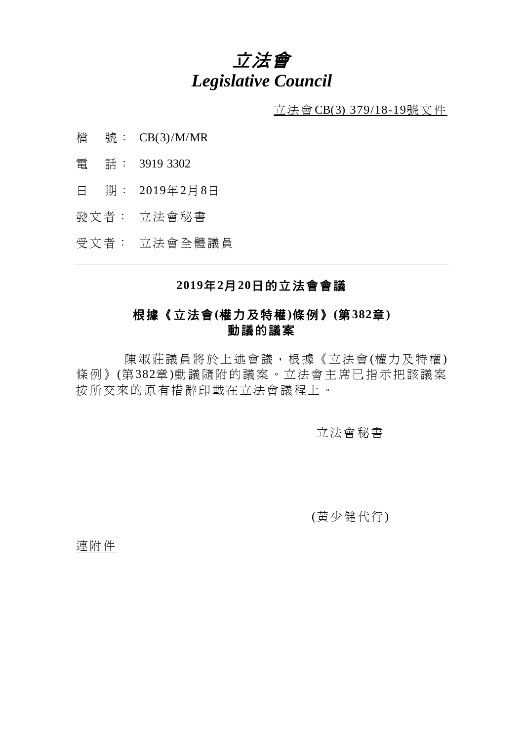# 立法會 *Legislative Council*

 $\underline{\text{if}}$  法會CB(3) 379/18-19號文件

- 檔 號: CB(3)/M/MR
- 電 話: 3919 3302
- 日 期: 2019年2月8日
- 發文者: 立法會秘書

受文者: 立法會全體議員

## **2019**年**2**月**20**日的立法會會議

## 根據《立法會**(**權力及特權**)**條例》**(**第**382**章**)** 動議的議案

陳淑莊議員將於上述會議,根據《立法會(權力及特權) 條例》(第382章)動議隨附的議案。立法會主席已指示把該議案 按所交來的原有措辭印載在立法會議程上。

立法會秘書

(黃少健代行)

連附件